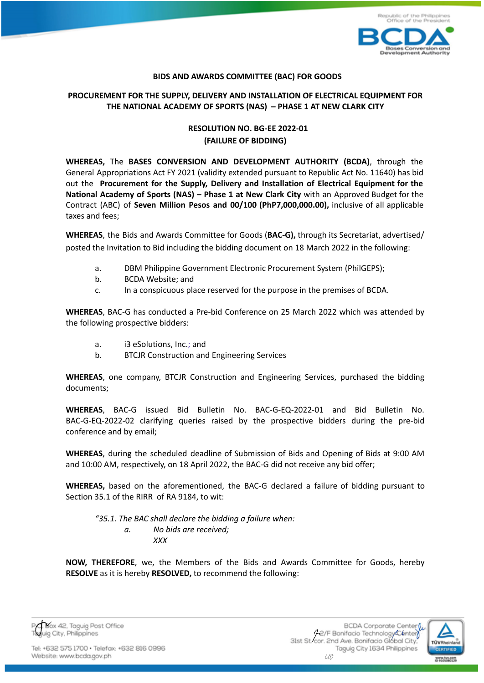

#### **BIDS AND AWARDS COMMITTEE (BAC) FOR GOODS**

### **PROCUREMENT FOR THE SUPPLY, DELIVERY AND INSTALLATION OF ELECTRICAL EQUIPMENT FOR THE NATIONAL ACADEMY OF SPORTS (NAS) – PHASE 1 AT NEW CLARK CITY**

## **RESOLUTION NO. BG-EE 2022-01 (FAILURE OF BIDDING)**

**WHEREAS,** The **BASES CONVERSION AND DEVELOPMENT AUTHORITY (BCDA)**, through the General Appropriations Act FY 2021 (validity extended pursuant to Republic Act No. 11640) has bid out the **Procurement for the Supply, Delivery and Installation of Electrical Equipment for the National Academy of Sports (NAS) – Phase 1 at New Clark City** with an Approved Budget for the Contract (ABC) of **Seven Million Pesos and 00/100 (PhP7,000,000.00),** inclusive of all applicable taxes and fees;

**WHEREAS**, the Bids and Awards Committee for Goods (**BAC-G),** through its Secretariat, advertised/ posted the Invitation to Bid including the bidding document on 18 March 2022 in the following:

- a. DBM Philippine Government Electronic Procurement System (PhilGEPS);
- b. BCDA Website; and
- c. In a conspicuous place reserved for the purpose in the premises of BCDA.

**WHEREAS**, BAC-G has conducted a Pre-bid Conference on 25 March 2022 which was attended by the following prospective bidders:

- a. i3 eSolutions, Inc.; and
- b. BTCJR Construction and Engineering Services

**WHEREAS**, one company, BTCJR Construction and Engineering Services, purchased the bidding documents;

**WHEREAS**, BAC-G issued Bid Bulletin No. BAC-G-EQ-2022-01 and Bid Bulletin No. BAC-G-EQ-2022-02 clarifying queries raised by the prospective bidders during the pre-bid conference and by email;

**WHEREAS**, during the scheduled deadline of Submission of Bids and Opening of Bids at 9:00 AM and 10:00 AM, respectively, on 18 April 2022, the BAC-G did not receive any bid offer;

**WHEREAS,** based on the aforementioned, the BAC-G declared a failure of bidding pursuant to Section 35.1 of the RIRR of RA 9184, to wit:

*"35.1. The BAC shall declare the bidding a failure when: a. No bids are received; XXX*

**NOW, THEREFORE**, we, the Members of the Bids and Awards Committee for Goods, hereby **RESOLVE** as it is hereby **RESOLVED,** to recommend the following: